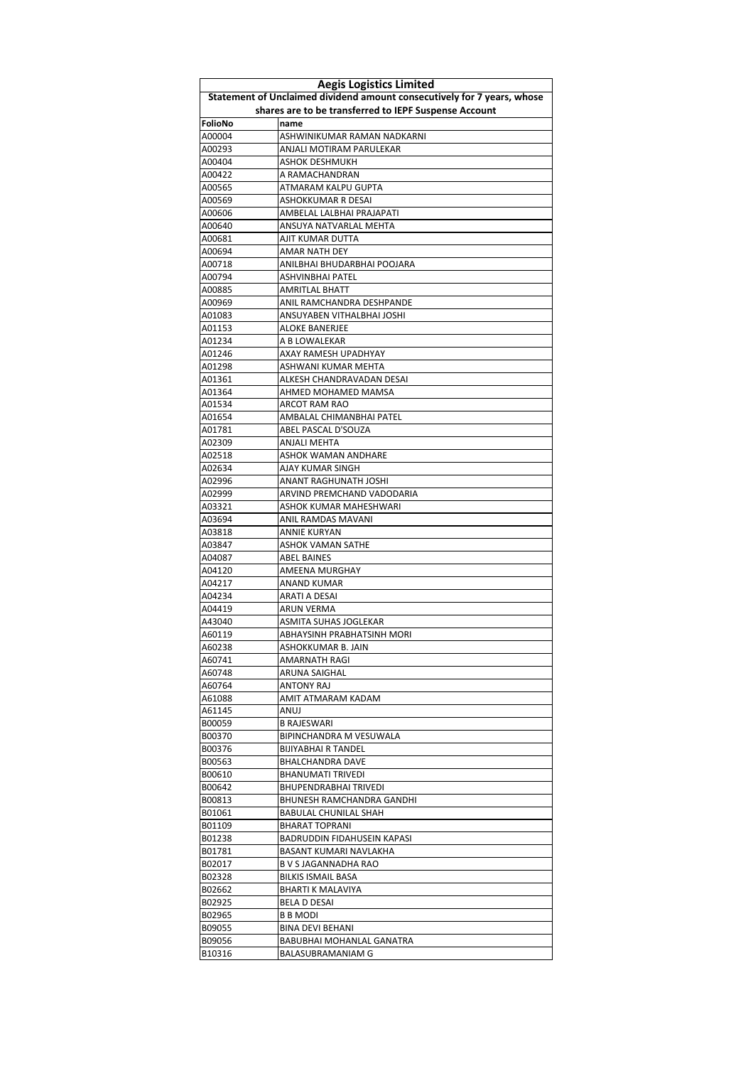| <b>Aegis Logistics Limited</b> |                                                                         |
|--------------------------------|-------------------------------------------------------------------------|
|                                | Statement of Unclaimed dividend amount consecutively for 7 years, whose |
|                                | shares are to be transferred to IEPF Suspense Account                   |
| FolioNo                        | name                                                                    |
| A00004                         | ASHWINIKUMAR RAMAN NADKARNI                                             |
| A00293                         | ANJALI MOTIRAM PARULEKAR                                                |
| A00404                         | ASHOK DESHMUKH                                                          |
| A00422                         | A RAMACHANDRAN                                                          |
| A00565                         | ATMARAM KALPU GUPTA                                                     |
| A00569                         | ASHOKKUMAR R DESAI                                                      |
| A00606                         | AMBELAL LALBHAI PRAJAPATI                                               |
| A00640                         | ANSUYA NATVARLAL MEHTA                                                  |
| A00681                         | AJIT KUMAR DUTTA                                                        |
| A00694                         | AMAR NATH DEY                                                           |
| A00718                         | ANILBHAI BHUDARBHAI POOJARA                                             |
| A00794                         | ASHVINBHAI PATEL                                                        |
| A00885                         | AMRITLAL BHATT                                                          |
| A00969                         | ANIL RAMCHANDRA DESHPANDE                                               |
| A01083                         | ANSUYABEN VITHALBHAI JOSHI                                              |
| A01153                         | ALOKE BANERJEE                                                          |
| A01234                         | A B LOWALEKAR                                                           |
| A01246                         | AXAY RAMESH UPADHYAY                                                    |
| A01298                         | ASHWANI KUMAR MEHTA                                                     |
| A01361                         | ALKESH CHANDRAVADAN DESAI                                               |
| A01364                         | AHMED MOHAMED MAMSA                                                     |
| A01534                         | ARCOT RAM RAO                                                           |
| A01654                         | AMBALAL CHIMANBHAI PATEL                                                |
| A01781                         | ABEL PASCAL D'SOUZA                                                     |
| A02309                         | ANJALI MEHTA                                                            |
| A02518<br>A02634               | ASHOK WAMAN ANDHARE<br>AJAY KUMAR SINGH                                 |
|                                |                                                                         |
| A02996<br>A02999               | ANANT RAGHUNATH JOSHI<br>ARVIND PREMCHAND VADODARIA                     |
| A03321                         | ASHOK KUMAR MAHESHWARI                                                  |
| A03694                         | ANIL RAMDAS MAVANI                                                      |
| A03818                         | ANNIE KURYAN                                                            |
| A03847                         | ASHOK VAMAN SATHE                                                       |
| A04087                         | ABEL BAINES                                                             |
| A04120                         | AMEENA MURGHAY                                                          |
| A04217                         | <b>ANAND KUMAR</b>                                                      |
| A04234                         | ARATI A DESAI                                                           |
| A04419                         | ARUN VERMA                                                              |
| A43040                         | ASMITA SUHAS JOGLEKAR                                                   |
| A60119                         | ABHAYSINH PRABHATSINH MORI                                              |
| A60238                         | ASHOKKUMAR B. JAIN                                                      |
| A60741                         | AMARNATH RAGI                                                           |
| A60748                         | ARUNA SAIGHAL                                                           |
| A60764                         | ANTONY RAJ                                                              |
| A61088                         | AMIT ATMARAM KADAM                                                      |
| A61145                         | ANUJ                                                                    |
| B00059                         | <b>B RAJESWARI</b>                                                      |
| B00370                         | BIPINCHANDRA M VESUWALA                                                 |
| B00376                         | <b>BIJIYABHAI R TANDEL</b>                                              |
| B00563                         | BHALCHANDRA DAVE                                                        |
| B00610                         | <b>BHANUMATI TRIVEDI</b>                                                |
| B00642                         | BHUPENDRABHAI TRIVEDI                                                   |
| B00813                         | BHUNESH RAMCHANDRA GANDHI                                               |
| B01061                         | BABULAL CHUNILAL SHAH                                                   |
| B01109                         | BHARAT TOPRANI                                                          |
| B01238                         | BADRUDDIN FIDAHUSEIN KAPASI                                             |
| B01781                         | BASANT KUMARI NAVLAKHA                                                  |
| B02017                         | B V S JAGANNADHA RAO                                                    |
| B02328                         | <b>BILKIS ISMAIL BASA</b>                                               |
| B02662                         | BHARTI K MALAVIYA                                                       |
| B02925                         | BELA D DESAI                                                            |
| B02965                         | <b>B B MODI</b>                                                         |
| B09055                         | BINA DEVI BEHANI                                                        |
| B09056                         | BABUBHAI MOHANLAL GANATRA                                               |
| B10316                         | BALASUBRAMANIAM G                                                       |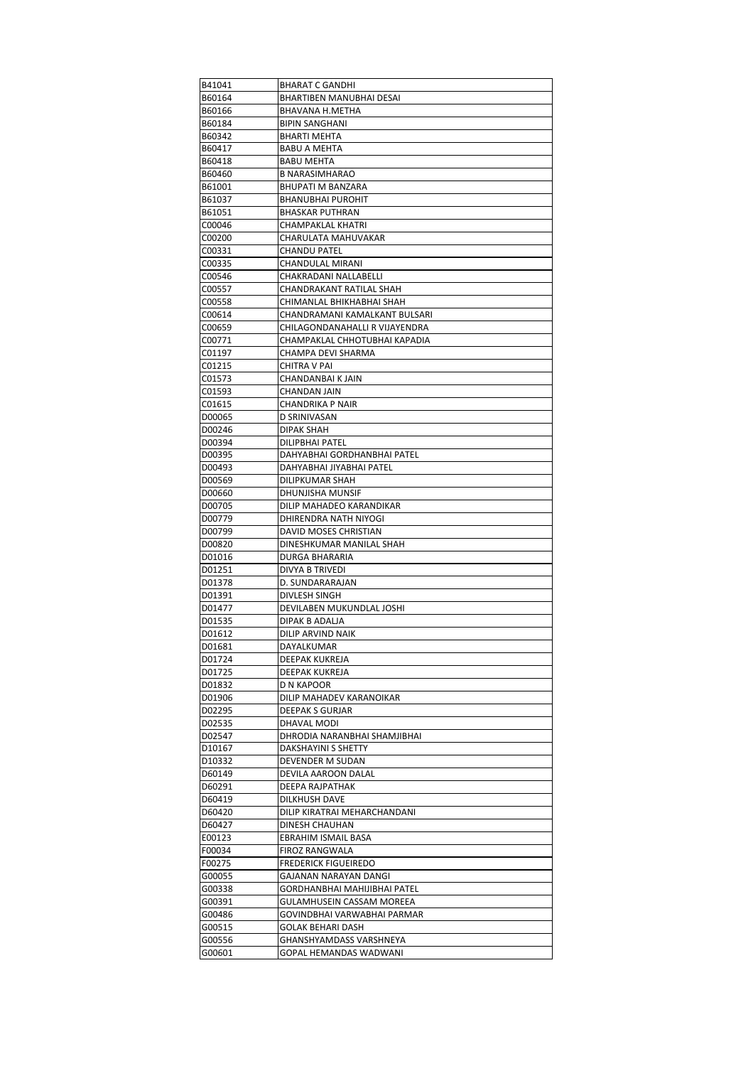| B60164<br><b>BHARTIBEN MANUBHAI DESAI</b><br>B60166<br>BHAVANA H.METHA<br>BIPIN SANGHANI<br>B60184<br>B60342<br><b>BHARTI MEHTA</b><br>B60417<br><b>BABU A MEHTA</b><br>B60418<br>BABU MEHTA<br>B60460<br><b>B NARASIMHARAO</b><br><b>BHUPATI M BANZARA</b><br>B61001<br>B61037<br>BHANUBHAI PUROHIT<br>B61051<br>BHASKAR PUTHRAN<br>C00046<br>CHAMPAKLAL KHATRI<br>C00200<br>CHARULATA MAHUVAKAR<br><b>CHANDU PATEL</b><br>C00331<br>C00335<br>CHANDULAL MIRANI<br>C00546<br>CHAKRADANI NALLABELLI<br>C00557<br>CHANDRAKANT RATILAL SHAH<br>CHIMANLAL BHIKHABHAI SHAH<br>C00558<br>CHANDRAMANI KAMALKANT BULSARI<br>C00614<br>C00659<br>CHILAGONDANAHALLI R VIJAYENDRA<br>C00771<br>CHAMPAKLAL CHHOTUBHAI KAPADIA<br>C01197<br>CHAMPA DEVI SHARMA<br>C01215<br>CHITRA V PAI<br>C01573<br>CHANDANBAI K JAIN<br>CHANDAN JAIN<br>C01593<br>C01615<br>CHANDRIKA P NAIR<br>D00065<br><b>D SRINIVASAN</b><br>D00246<br><b>DIPAK SHAH</b><br>DILIPBHAI PATEL<br>D00394<br>D00395<br>DAHYABHAI GORDHANBHAI PATEL<br>D00493<br>DAHYABHAI JIYABHAI PATEL<br>DILIPKUMAR SHAH<br>D00569<br>D00660<br>DHUNJISHA MUNSIF<br>D00705<br>DILIP MAHADEO KARANDIKAR<br>D00779<br>DHIRENDRA NATH NIYOGI<br>DAVID MOSES CHRISTIAN<br>D00799<br>D00820<br>DINESHKUMAR MANILAL SHAH<br>D01016<br>DURGA BHARARIA<br>D01251<br>DIVYA B TRIVEDI<br>D01378<br>D. SUNDARARAJAN<br>D01391<br>DIVLESH SINGH<br>DEVILABEN MUKUNDLAL JOSHI<br>D01477<br>D01535<br>DIPAK B ADALJA<br>D01612<br>DILIP ARVIND NAIK<br>D01681<br>DAYALKUMAR<br>D01724<br>DEEPAK KUKREJA<br>D01725<br>DEEPAK KUKREJA<br>D01832<br>D N KAPOOR<br>DILIP MAHADEV KARANOIKAR<br>D01906<br>DEEPAK S GURJAR<br>D02295<br>D02535<br>DHAVAL MODI<br>D02547<br>DHRODIA NARANBHAI SHAMJIBHAI<br>D10167<br>DAKSHAYINI S SHETTY<br>DEVENDER M SUDAN<br>D <sub>10332</sub><br>D60149<br>DEVILA AAROON DALAL<br>D60291<br>DEEPA RAJPATHAK<br>D60419<br>DILKHUSH DAVE<br>D60420<br>DILIP KIRATRAI MEHARCHANDANI<br>D60427<br>DINESH CHAUHAN<br>E00123<br>EBRAHIM ISMAIL BASA<br>FIROZ RANGWALA<br>F00034<br><b>FREDERICK FIGUEIREDO</b><br>F00275<br>GAJANAN NARAYAN DANGI<br>G00055<br>GORDHANBHAI MAHIJIBHAI PATEL<br>G00338<br>GULAMHUSEIN CASSAM MOREEA<br>G00391<br>G00486<br>GOVINDBHAI VARWABHAI PARMAR<br>G00515<br>GOLAK BEHARI DASH<br>G00556<br>GHANSHYAMDASS VARSHNEYA<br>GOPAL HEMANDAS WADWANI<br>G00601 | B41041 | BHARAT C GANDHI |
|----------------------------------------------------------------------------------------------------------------------------------------------------------------------------------------------------------------------------------------------------------------------------------------------------------------------------------------------------------------------------------------------------------------------------------------------------------------------------------------------------------------------------------------------------------------------------------------------------------------------------------------------------------------------------------------------------------------------------------------------------------------------------------------------------------------------------------------------------------------------------------------------------------------------------------------------------------------------------------------------------------------------------------------------------------------------------------------------------------------------------------------------------------------------------------------------------------------------------------------------------------------------------------------------------------------------------------------------------------------------------------------------------------------------------------------------------------------------------------------------------------------------------------------------------------------------------------------------------------------------------------------------------------------------------------------------------------------------------------------------------------------------------------------------------------------------------------------------------------------------------------------------------------------------------------------------------------------------------------------------------------------------------------------------------------------------------------------------------------------------------------------------------------------------------------------------------------------------------------------------------------------------------------------------------------------------------------------------------|--------|-----------------|
|                                                                                                                                                                                                                                                                                                                                                                                                                                                                                                                                                                                                                                                                                                                                                                                                                                                                                                                                                                                                                                                                                                                                                                                                                                                                                                                                                                                                                                                                                                                                                                                                                                                                                                                                                                                                                                                                                                                                                                                                                                                                                                                                                                                                                                                                                                                                                    |        |                 |
|                                                                                                                                                                                                                                                                                                                                                                                                                                                                                                                                                                                                                                                                                                                                                                                                                                                                                                                                                                                                                                                                                                                                                                                                                                                                                                                                                                                                                                                                                                                                                                                                                                                                                                                                                                                                                                                                                                                                                                                                                                                                                                                                                                                                                                                                                                                                                    |        |                 |
|                                                                                                                                                                                                                                                                                                                                                                                                                                                                                                                                                                                                                                                                                                                                                                                                                                                                                                                                                                                                                                                                                                                                                                                                                                                                                                                                                                                                                                                                                                                                                                                                                                                                                                                                                                                                                                                                                                                                                                                                                                                                                                                                                                                                                                                                                                                                                    |        |                 |
|                                                                                                                                                                                                                                                                                                                                                                                                                                                                                                                                                                                                                                                                                                                                                                                                                                                                                                                                                                                                                                                                                                                                                                                                                                                                                                                                                                                                                                                                                                                                                                                                                                                                                                                                                                                                                                                                                                                                                                                                                                                                                                                                                                                                                                                                                                                                                    |        |                 |
|                                                                                                                                                                                                                                                                                                                                                                                                                                                                                                                                                                                                                                                                                                                                                                                                                                                                                                                                                                                                                                                                                                                                                                                                                                                                                                                                                                                                                                                                                                                                                                                                                                                                                                                                                                                                                                                                                                                                                                                                                                                                                                                                                                                                                                                                                                                                                    |        |                 |
|                                                                                                                                                                                                                                                                                                                                                                                                                                                                                                                                                                                                                                                                                                                                                                                                                                                                                                                                                                                                                                                                                                                                                                                                                                                                                                                                                                                                                                                                                                                                                                                                                                                                                                                                                                                                                                                                                                                                                                                                                                                                                                                                                                                                                                                                                                                                                    |        |                 |
|                                                                                                                                                                                                                                                                                                                                                                                                                                                                                                                                                                                                                                                                                                                                                                                                                                                                                                                                                                                                                                                                                                                                                                                                                                                                                                                                                                                                                                                                                                                                                                                                                                                                                                                                                                                                                                                                                                                                                                                                                                                                                                                                                                                                                                                                                                                                                    |        |                 |
|                                                                                                                                                                                                                                                                                                                                                                                                                                                                                                                                                                                                                                                                                                                                                                                                                                                                                                                                                                                                                                                                                                                                                                                                                                                                                                                                                                                                                                                                                                                                                                                                                                                                                                                                                                                                                                                                                                                                                                                                                                                                                                                                                                                                                                                                                                                                                    |        |                 |
|                                                                                                                                                                                                                                                                                                                                                                                                                                                                                                                                                                                                                                                                                                                                                                                                                                                                                                                                                                                                                                                                                                                                                                                                                                                                                                                                                                                                                                                                                                                                                                                                                                                                                                                                                                                                                                                                                                                                                                                                                                                                                                                                                                                                                                                                                                                                                    |        |                 |
|                                                                                                                                                                                                                                                                                                                                                                                                                                                                                                                                                                                                                                                                                                                                                                                                                                                                                                                                                                                                                                                                                                                                                                                                                                                                                                                                                                                                                                                                                                                                                                                                                                                                                                                                                                                                                                                                                                                                                                                                                                                                                                                                                                                                                                                                                                                                                    |        |                 |
|                                                                                                                                                                                                                                                                                                                                                                                                                                                                                                                                                                                                                                                                                                                                                                                                                                                                                                                                                                                                                                                                                                                                                                                                                                                                                                                                                                                                                                                                                                                                                                                                                                                                                                                                                                                                                                                                                                                                                                                                                                                                                                                                                                                                                                                                                                                                                    |        |                 |
|                                                                                                                                                                                                                                                                                                                                                                                                                                                                                                                                                                                                                                                                                                                                                                                                                                                                                                                                                                                                                                                                                                                                                                                                                                                                                                                                                                                                                                                                                                                                                                                                                                                                                                                                                                                                                                                                                                                                                                                                                                                                                                                                                                                                                                                                                                                                                    |        |                 |
|                                                                                                                                                                                                                                                                                                                                                                                                                                                                                                                                                                                                                                                                                                                                                                                                                                                                                                                                                                                                                                                                                                                                                                                                                                                                                                                                                                                                                                                                                                                                                                                                                                                                                                                                                                                                                                                                                                                                                                                                                                                                                                                                                                                                                                                                                                                                                    |        |                 |
|                                                                                                                                                                                                                                                                                                                                                                                                                                                                                                                                                                                                                                                                                                                                                                                                                                                                                                                                                                                                                                                                                                                                                                                                                                                                                                                                                                                                                                                                                                                                                                                                                                                                                                                                                                                                                                                                                                                                                                                                                                                                                                                                                                                                                                                                                                                                                    |        |                 |
|                                                                                                                                                                                                                                                                                                                                                                                                                                                                                                                                                                                                                                                                                                                                                                                                                                                                                                                                                                                                                                                                                                                                                                                                                                                                                                                                                                                                                                                                                                                                                                                                                                                                                                                                                                                                                                                                                                                                                                                                                                                                                                                                                                                                                                                                                                                                                    |        |                 |
|                                                                                                                                                                                                                                                                                                                                                                                                                                                                                                                                                                                                                                                                                                                                                                                                                                                                                                                                                                                                                                                                                                                                                                                                                                                                                                                                                                                                                                                                                                                                                                                                                                                                                                                                                                                                                                                                                                                                                                                                                                                                                                                                                                                                                                                                                                                                                    |        |                 |
|                                                                                                                                                                                                                                                                                                                                                                                                                                                                                                                                                                                                                                                                                                                                                                                                                                                                                                                                                                                                                                                                                                                                                                                                                                                                                                                                                                                                                                                                                                                                                                                                                                                                                                                                                                                                                                                                                                                                                                                                                                                                                                                                                                                                                                                                                                                                                    |        |                 |
|                                                                                                                                                                                                                                                                                                                                                                                                                                                                                                                                                                                                                                                                                                                                                                                                                                                                                                                                                                                                                                                                                                                                                                                                                                                                                                                                                                                                                                                                                                                                                                                                                                                                                                                                                                                                                                                                                                                                                                                                                                                                                                                                                                                                                                                                                                                                                    |        |                 |
|                                                                                                                                                                                                                                                                                                                                                                                                                                                                                                                                                                                                                                                                                                                                                                                                                                                                                                                                                                                                                                                                                                                                                                                                                                                                                                                                                                                                                                                                                                                                                                                                                                                                                                                                                                                                                                                                                                                                                                                                                                                                                                                                                                                                                                                                                                                                                    |        |                 |
|                                                                                                                                                                                                                                                                                                                                                                                                                                                                                                                                                                                                                                                                                                                                                                                                                                                                                                                                                                                                                                                                                                                                                                                                                                                                                                                                                                                                                                                                                                                                                                                                                                                                                                                                                                                                                                                                                                                                                                                                                                                                                                                                                                                                                                                                                                                                                    |        |                 |
|                                                                                                                                                                                                                                                                                                                                                                                                                                                                                                                                                                                                                                                                                                                                                                                                                                                                                                                                                                                                                                                                                                                                                                                                                                                                                                                                                                                                                                                                                                                                                                                                                                                                                                                                                                                                                                                                                                                                                                                                                                                                                                                                                                                                                                                                                                                                                    |        |                 |
|                                                                                                                                                                                                                                                                                                                                                                                                                                                                                                                                                                                                                                                                                                                                                                                                                                                                                                                                                                                                                                                                                                                                                                                                                                                                                                                                                                                                                                                                                                                                                                                                                                                                                                                                                                                                                                                                                                                                                                                                                                                                                                                                                                                                                                                                                                                                                    |        |                 |
|                                                                                                                                                                                                                                                                                                                                                                                                                                                                                                                                                                                                                                                                                                                                                                                                                                                                                                                                                                                                                                                                                                                                                                                                                                                                                                                                                                                                                                                                                                                                                                                                                                                                                                                                                                                                                                                                                                                                                                                                                                                                                                                                                                                                                                                                                                                                                    |        |                 |
|                                                                                                                                                                                                                                                                                                                                                                                                                                                                                                                                                                                                                                                                                                                                                                                                                                                                                                                                                                                                                                                                                                                                                                                                                                                                                                                                                                                                                                                                                                                                                                                                                                                                                                                                                                                                                                                                                                                                                                                                                                                                                                                                                                                                                                                                                                                                                    |        |                 |
|                                                                                                                                                                                                                                                                                                                                                                                                                                                                                                                                                                                                                                                                                                                                                                                                                                                                                                                                                                                                                                                                                                                                                                                                                                                                                                                                                                                                                                                                                                                                                                                                                                                                                                                                                                                                                                                                                                                                                                                                                                                                                                                                                                                                                                                                                                                                                    |        |                 |
|                                                                                                                                                                                                                                                                                                                                                                                                                                                                                                                                                                                                                                                                                                                                                                                                                                                                                                                                                                                                                                                                                                                                                                                                                                                                                                                                                                                                                                                                                                                                                                                                                                                                                                                                                                                                                                                                                                                                                                                                                                                                                                                                                                                                                                                                                                                                                    |        |                 |
|                                                                                                                                                                                                                                                                                                                                                                                                                                                                                                                                                                                                                                                                                                                                                                                                                                                                                                                                                                                                                                                                                                                                                                                                                                                                                                                                                                                                                                                                                                                                                                                                                                                                                                                                                                                                                                                                                                                                                                                                                                                                                                                                                                                                                                                                                                                                                    |        |                 |
|                                                                                                                                                                                                                                                                                                                                                                                                                                                                                                                                                                                                                                                                                                                                                                                                                                                                                                                                                                                                                                                                                                                                                                                                                                                                                                                                                                                                                                                                                                                                                                                                                                                                                                                                                                                                                                                                                                                                                                                                                                                                                                                                                                                                                                                                                                                                                    |        |                 |
|                                                                                                                                                                                                                                                                                                                                                                                                                                                                                                                                                                                                                                                                                                                                                                                                                                                                                                                                                                                                                                                                                                                                                                                                                                                                                                                                                                                                                                                                                                                                                                                                                                                                                                                                                                                                                                                                                                                                                                                                                                                                                                                                                                                                                                                                                                                                                    |        |                 |
|                                                                                                                                                                                                                                                                                                                                                                                                                                                                                                                                                                                                                                                                                                                                                                                                                                                                                                                                                                                                                                                                                                                                                                                                                                                                                                                                                                                                                                                                                                                                                                                                                                                                                                                                                                                                                                                                                                                                                                                                                                                                                                                                                                                                                                                                                                                                                    |        |                 |
|                                                                                                                                                                                                                                                                                                                                                                                                                                                                                                                                                                                                                                                                                                                                                                                                                                                                                                                                                                                                                                                                                                                                                                                                                                                                                                                                                                                                                                                                                                                                                                                                                                                                                                                                                                                                                                                                                                                                                                                                                                                                                                                                                                                                                                                                                                                                                    |        |                 |
|                                                                                                                                                                                                                                                                                                                                                                                                                                                                                                                                                                                                                                                                                                                                                                                                                                                                                                                                                                                                                                                                                                                                                                                                                                                                                                                                                                                                                                                                                                                                                                                                                                                                                                                                                                                                                                                                                                                                                                                                                                                                                                                                                                                                                                                                                                                                                    |        |                 |
|                                                                                                                                                                                                                                                                                                                                                                                                                                                                                                                                                                                                                                                                                                                                                                                                                                                                                                                                                                                                                                                                                                                                                                                                                                                                                                                                                                                                                                                                                                                                                                                                                                                                                                                                                                                                                                                                                                                                                                                                                                                                                                                                                                                                                                                                                                                                                    |        |                 |
|                                                                                                                                                                                                                                                                                                                                                                                                                                                                                                                                                                                                                                                                                                                                                                                                                                                                                                                                                                                                                                                                                                                                                                                                                                                                                                                                                                                                                                                                                                                                                                                                                                                                                                                                                                                                                                                                                                                                                                                                                                                                                                                                                                                                                                                                                                                                                    |        |                 |
|                                                                                                                                                                                                                                                                                                                                                                                                                                                                                                                                                                                                                                                                                                                                                                                                                                                                                                                                                                                                                                                                                                                                                                                                                                                                                                                                                                                                                                                                                                                                                                                                                                                                                                                                                                                                                                                                                                                                                                                                                                                                                                                                                                                                                                                                                                                                                    |        |                 |
|                                                                                                                                                                                                                                                                                                                                                                                                                                                                                                                                                                                                                                                                                                                                                                                                                                                                                                                                                                                                                                                                                                                                                                                                                                                                                                                                                                                                                                                                                                                                                                                                                                                                                                                                                                                                                                                                                                                                                                                                                                                                                                                                                                                                                                                                                                                                                    |        |                 |
|                                                                                                                                                                                                                                                                                                                                                                                                                                                                                                                                                                                                                                                                                                                                                                                                                                                                                                                                                                                                                                                                                                                                                                                                                                                                                                                                                                                                                                                                                                                                                                                                                                                                                                                                                                                                                                                                                                                                                                                                                                                                                                                                                                                                                                                                                                                                                    |        |                 |
|                                                                                                                                                                                                                                                                                                                                                                                                                                                                                                                                                                                                                                                                                                                                                                                                                                                                                                                                                                                                                                                                                                                                                                                                                                                                                                                                                                                                                                                                                                                                                                                                                                                                                                                                                                                                                                                                                                                                                                                                                                                                                                                                                                                                                                                                                                                                                    |        |                 |
|                                                                                                                                                                                                                                                                                                                                                                                                                                                                                                                                                                                                                                                                                                                                                                                                                                                                                                                                                                                                                                                                                                                                                                                                                                                                                                                                                                                                                                                                                                                                                                                                                                                                                                                                                                                                                                                                                                                                                                                                                                                                                                                                                                                                                                                                                                                                                    |        |                 |
|                                                                                                                                                                                                                                                                                                                                                                                                                                                                                                                                                                                                                                                                                                                                                                                                                                                                                                                                                                                                                                                                                                                                                                                                                                                                                                                                                                                                                                                                                                                                                                                                                                                                                                                                                                                                                                                                                                                                                                                                                                                                                                                                                                                                                                                                                                                                                    |        |                 |
|                                                                                                                                                                                                                                                                                                                                                                                                                                                                                                                                                                                                                                                                                                                                                                                                                                                                                                                                                                                                                                                                                                                                                                                                                                                                                                                                                                                                                                                                                                                                                                                                                                                                                                                                                                                                                                                                                                                                                                                                                                                                                                                                                                                                                                                                                                                                                    |        |                 |
|                                                                                                                                                                                                                                                                                                                                                                                                                                                                                                                                                                                                                                                                                                                                                                                                                                                                                                                                                                                                                                                                                                                                                                                                                                                                                                                                                                                                                                                                                                                                                                                                                                                                                                                                                                                                                                                                                                                                                                                                                                                                                                                                                                                                                                                                                                                                                    |        |                 |
|                                                                                                                                                                                                                                                                                                                                                                                                                                                                                                                                                                                                                                                                                                                                                                                                                                                                                                                                                                                                                                                                                                                                                                                                                                                                                                                                                                                                                                                                                                                                                                                                                                                                                                                                                                                                                                                                                                                                                                                                                                                                                                                                                                                                                                                                                                                                                    |        |                 |
|                                                                                                                                                                                                                                                                                                                                                                                                                                                                                                                                                                                                                                                                                                                                                                                                                                                                                                                                                                                                                                                                                                                                                                                                                                                                                                                                                                                                                                                                                                                                                                                                                                                                                                                                                                                                                                                                                                                                                                                                                                                                                                                                                                                                                                                                                                                                                    |        |                 |
|                                                                                                                                                                                                                                                                                                                                                                                                                                                                                                                                                                                                                                                                                                                                                                                                                                                                                                                                                                                                                                                                                                                                                                                                                                                                                                                                                                                                                                                                                                                                                                                                                                                                                                                                                                                                                                                                                                                                                                                                                                                                                                                                                                                                                                                                                                                                                    |        |                 |
|                                                                                                                                                                                                                                                                                                                                                                                                                                                                                                                                                                                                                                                                                                                                                                                                                                                                                                                                                                                                                                                                                                                                                                                                                                                                                                                                                                                                                                                                                                                                                                                                                                                                                                                                                                                                                                                                                                                                                                                                                                                                                                                                                                                                                                                                                                                                                    |        |                 |
|                                                                                                                                                                                                                                                                                                                                                                                                                                                                                                                                                                                                                                                                                                                                                                                                                                                                                                                                                                                                                                                                                                                                                                                                                                                                                                                                                                                                                                                                                                                                                                                                                                                                                                                                                                                                                                                                                                                                                                                                                                                                                                                                                                                                                                                                                                                                                    |        |                 |
|                                                                                                                                                                                                                                                                                                                                                                                                                                                                                                                                                                                                                                                                                                                                                                                                                                                                                                                                                                                                                                                                                                                                                                                                                                                                                                                                                                                                                                                                                                                                                                                                                                                                                                                                                                                                                                                                                                                                                                                                                                                                                                                                                                                                                                                                                                                                                    |        |                 |
|                                                                                                                                                                                                                                                                                                                                                                                                                                                                                                                                                                                                                                                                                                                                                                                                                                                                                                                                                                                                                                                                                                                                                                                                                                                                                                                                                                                                                                                                                                                                                                                                                                                                                                                                                                                                                                                                                                                                                                                                                                                                                                                                                                                                                                                                                                                                                    |        |                 |
|                                                                                                                                                                                                                                                                                                                                                                                                                                                                                                                                                                                                                                                                                                                                                                                                                                                                                                                                                                                                                                                                                                                                                                                                                                                                                                                                                                                                                                                                                                                                                                                                                                                                                                                                                                                                                                                                                                                                                                                                                                                                                                                                                                                                                                                                                                                                                    |        |                 |
|                                                                                                                                                                                                                                                                                                                                                                                                                                                                                                                                                                                                                                                                                                                                                                                                                                                                                                                                                                                                                                                                                                                                                                                                                                                                                                                                                                                                                                                                                                                                                                                                                                                                                                                                                                                                                                                                                                                                                                                                                                                                                                                                                                                                                                                                                                                                                    |        |                 |
|                                                                                                                                                                                                                                                                                                                                                                                                                                                                                                                                                                                                                                                                                                                                                                                                                                                                                                                                                                                                                                                                                                                                                                                                                                                                                                                                                                                                                                                                                                                                                                                                                                                                                                                                                                                                                                                                                                                                                                                                                                                                                                                                                                                                                                                                                                                                                    |        |                 |
|                                                                                                                                                                                                                                                                                                                                                                                                                                                                                                                                                                                                                                                                                                                                                                                                                                                                                                                                                                                                                                                                                                                                                                                                                                                                                                                                                                                                                                                                                                                                                                                                                                                                                                                                                                                                                                                                                                                                                                                                                                                                                                                                                                                                                                                                                                                                                    |        |                 |
|                                                                                                                                                                                                                                                                                                                                                                                                                                                                                                                                                                                                                                                                                                                                                                                                                                                                                                                                                                                                                                                                                                                                                                                                                                                                                                                                                                                                                                                                                                                                                                                                                                                                                                                                                                                                                                                                                                                                                                                                                                                                                                                                                                                                                                                                                                                                                    |        |                 |
|                                                                                                                                                                                                                                                                                                                                                                                                                                                                                                                                                                                                                                                                                                                                                                                                                                                                                                                                                                                                                                                                                                                                                                                                                                                                                                                                                                                                                                                                                                                                                                                                                                                                                                                                                                                                                                                                                                                                                                                                                                                                                                                                                                                                                                                                                                                                                    |        |                 |
|                                                                                                                                                                                                                                                                                                                                                                                                                                                                                                                                                                                                                                                                                                                                                                                                                                                                                                                                                                                                                                                                                                                                                                                                                                                                                                                                                                                                                                                                                                                                                                                                                                                                                                                                                                                                                                                                                                                                                                                                                                                                                                                                                                                                                                                                                                                                                    |        |                 |
|                                                                                                                                                                                                                                                                                                                                                                                                                                                                                                                                                                                                                                                                                                                                                                                                                                                                                                                                                                                                                                                                                                                                                                                                                                                                                                                                                                                                                                                                                                                                                                                                                                                                                                                                                                                                                                                                                                                                                                                                                                                                                                                                                                                                                                                                                                                                                    |        |                 |
|                                                                                                                                                                                                                                                                                                                                                                                                                                                                                                                                                                                                                                                                                                                                                                                                                                                                                                                                                                                                                                                                                                                                                                                                                                                                                                                                                                                                                                                                                                                                                                                                                                                                                                                                                                                                                                                                                                                                                                                                                                                                                                                                                                                                                                                                                                                                                    |        |                 |
|                                                                                                                                                                                                                                                                                                                                                                                                                                                                                                                                                                                                                                                                                                                                                                                                                                                                                                                                                                                                                                                                                                                                                                                                                                                                                                                                                                                                                                                                                                                                                                                                                                                                                                                                                                                                                                                                                                                                                                                                                                                                                                                                                                                                                                                                                                                                                    |        |                 |
|                                                                                                                                                                                                                                                                                                                                                                                                                                                                                                                                                                                                                                                                                                                                                                                                                                                                                                                                                                                                                                                                                                                                                                                                                                                                                                                                                                                                                                                                                                                                                                                                                                                                                                                                                                                                                                                                                                                                                                                                                                                                                                                                                                                                                                                                                                                                                    |        |                 |
|                                                                                                                                                                                                                                                                                                                                                                                                                                                                                                                                                                                                                                                                                                                                                                                                                                                                                                                                                                                                                                                                                                                                                                                                                                                                                                                                                                                                                                                                                                                                                                                                                                                                                                                                                                                                                                                                                                                                                                                                                                                                                                                                                                                                                                                                                                                                                    |        |                 |
|                                                                                                                                                                                                                                                                                                                                                                                                                                                                                                                                                                                                                                                                                                                                                                                                                                                                                                                                                                                                                                                                                                                                                                                                                                                                                                                                                                                                                                                                                                                                                                                                                                                                                                                                                                                                                                                                                                                                                                                                                                                                                                                                                                                                                                                                                                                                                    |        |                 |
|                                                                                                                                                                                                                                                                                                                                                                                                                                                                                                                                                                                                                                                                                                                                                                                                                                                                                                                                                                                                                                                                                                                                                                                                                                                                                                                                                                                                                                                                                                                                                                                                                                                                                                                                                                                                                                                                                                                                                                                                                                                                                                                                                                                                                                                                                                                                                    |        |                 |
|                                                                                                                                                                                                                                                                                                                                                                                                                                                                                                                                                                                                                                                                                                                                                                                                                                                                                                                                                                                                                                                                                                                                                                                                                                                                                                                                                                                                                                                                                                                                                                                                                                                                                                                                                                                                                                                                                                                                                                                                                                                                                                                                                                                                                                                                                                                                                    |        |                 |
|                                                                                                                                                                                                                                                                                                                                                                                                                                                                                                                                                                                                                                                                                                                                                                                                                                                                                                                                                                                                                                                                                                                                                                                                                                                                                                                                                                                                                                                                                                                                                                                                                                                                                                                                                                                                                                                                                                                                                                                                                                                                                                                                                                                                                                                                                                                                                    |        |                 |
|                                                                                                                                                                                                                                                                                                                                                                                                                                                                                                                                                                                                                                                                                                                                                                                                                                                                                                                                                                                                                                                                                                                                                                                                                                                                                                                                                                                                                                                                                                                                                                                                                                                                                                                                                                                                                                                                                                                                                                                                                                                                                                                                                                                                                                                                                                                                                    |        |                 |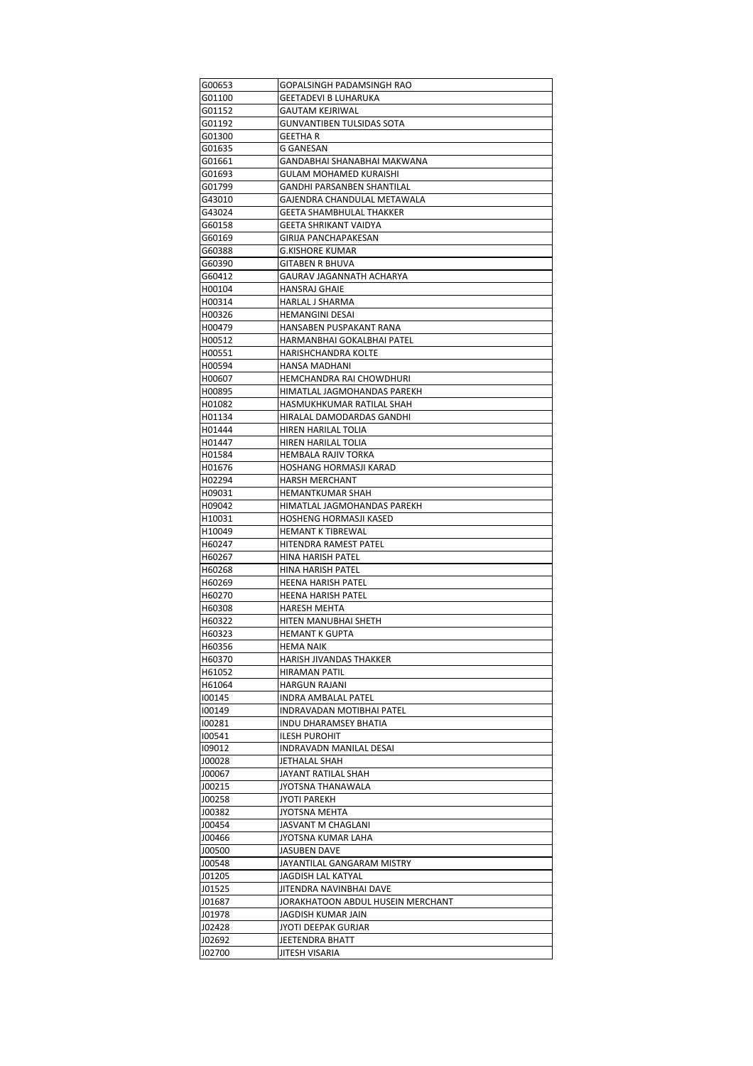| G00653           | GOPALSINGH PADAMSINGH RAO                         |
|------------------|---------------------------------------------------|
| G01100           | GEETADEVI B LUHARUKA                              |
| G01152           | GAUTAM KEJRIWAL                                   |
| G01192           | GUNVANTIBEN TULSIDAS SOTA                         |
| G01300           | GEETHA R                                          |
| G01635           | G GANESAN                                         |
| G01661           | GANDABHAI SHANABHAI MAKWANA                       |
| G01693           | GULAM MOHAMED KURAISHI                            |
| G01799           | GANDHI PARSANBEN SHANTILAL                        |
| G43010           | GAJENDRA CHANDULAL METAWALA                       |
| G43024<br>G60158 | GEETA SHAMBHULAL THAKKER<br>GEETA SHRIKANT VAIDYA |
| G60169           | GIRIJA PANCHAPAKESAN                              |
| G60388           | G.KISHORE KUMAR                                   |
| G60390           | GITABEN R BHUVA                                   |
| G60412           | GAURAV JAGANNATH ACHARYA                          |
| H00104           | HANSRAJ GHAIE                                     |
| H00314           | HARLAL J SHARMA                                   |
| H00326           | HEMANGINI DESAI                                   |
| H00479           | HANSABEN PUSPAKANT RANA                           |
| H00512           | HARMANBHAI GOKALBHAI PATEL                        |
| H00551           | HARISHCHANDRA KOLTE                               |
| H00594           | HANSA MADHANI                                     |
| H00607           | HEMCHANDRA RAI CHOWDHURI                          |
| H00895           | HIMATLAL JAGMOHANDAS PAREKH                       |
| H01082           | HASMUKHKUMAR RATILAL SHAH                         |
| H01134           | HIRALAL DAMODARDAS GANDHI                         |
| H01444           | HIREN HARILAL TOLIA                               |
| H01447           | HIREN HARILAL TOLIA                               |
| H01584           | HEMBALA RAJIV TORKA                               |
| H01676           | HOSHANG HORMASJI KARAD                            |
| H02294           | HARSH MERCHANT                                    |
| H09031<br>H09042 | HEMANTKUMAR SHAH<br>HIMATLAL JAGMOHANDAS PAREKH   |
| H10031           | HOSHENG HORMASJI KASED                            |
| H10049           | HEMANT K TIBREWAL                                 |
| H60247           | HITENDRA RAMEST PATEL                             |
| H60267           | HINA HARISH PATEL                                 |
| H60268           | HINA HARISH PATEL                                 |
| H60269           | <b>HEENA HARISH PATEL</b>                         |
| H60270           | HEENA HARISH PATEL                                |
| H60308           | HARESH MEHTA                                      |
| H60322           | HITEN MANUBHAI SHETH                              |
| H60323           | HEMANT K GUPTA                                    |
| H60356           | <b>HEMA NAIK</b>                                  |
| H60370           | HARISH JIVANDAS THAKKER                           |
| H61052           | <b>HIRAMAN PATIL</b>                              |
| H61064           | HARGUN RAJANI                                     |
| 100145           | INDRA AMBALAL PATEL                               |
| 100149           | INDRAVADAN MOTIBHAI PATEL                         |
| 100281           | INDU DHARAMSEY BHATIA                             |
| 100541<br>109012 | <b>ILESH PUROHIT</b><br>INDRAVADN MANILAL DESAI   |
| J00028           | JETHALAL SHAH                                     |
| J00067           | JAYANT RATILAL SHAH                               |
| J00215           | JYOTSNA THANAWALA                                 |
| J00258           | JYOTI PAREKH                                      |
| J00382           | JYOTSNA MEHTA                                     |
| J00454           | JASVANT M CHAGLANI                                |
| J00466           | JYOTSNA KUMAR LAHA                                |
| J00500           | JASUBEN DAVE                                      |
| J00548           | JAYANTILAL GANGARAM MISTRY                        |
| J01205           | JAGDISH LAL KATYAL                                |
| J01525           | JITENDRA NAVINBHAI DAVE                           |
| J01687           | JORAKHATOON ABDUL HUSEIN MERCHANT                 |
| J01978           | JAGDISH KUMAR JAIN                                |
| J02428           | JYOTI DEEPAK GURJAR                               |
| J02692           | JEETENDRA BHATT                                   |
| J02700           | JITESH VISARIA                                    |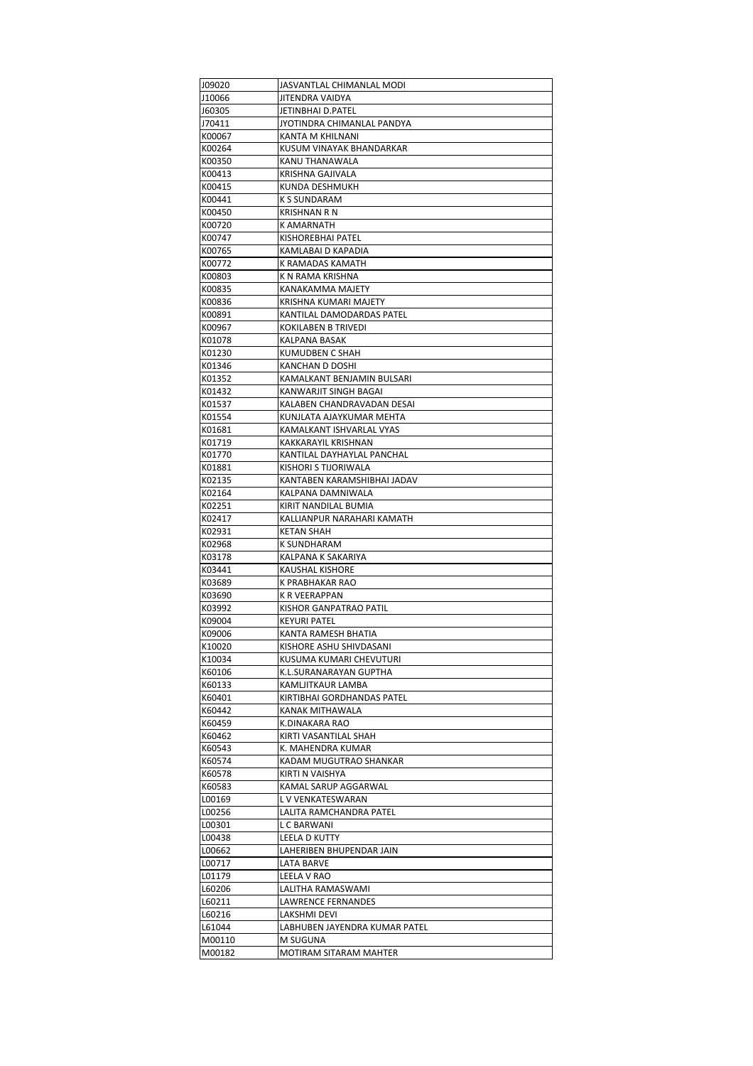| J09020 | JASVANTLAL CHIMANLAL MODI     |
|--------|-------------------------------|
| J10066 | JITENDRA VAIDYA               |
| J60305 | JETINBHAI D.PATEL             |
| J70411 | JYOTINDRA CHIMANLAL PANDYA    |
| K00067 | KANTA M KHILNANI              |
| K00264 | KUSUM VINAYAK BHANDARKAR      |
| K00350 | KANU THANAWALA                |
| K00413 | KRISHNA GAJIVALA              |
|        |                               |
| K00415 | KUNDA DESHMUKH                |
| K00441 | K S SUNDARAM                  |
| K00450 | KRISHNAN R N                  |
| K00720 | K AMARNATH                    |
| K00747 | KISHOREBHAI PATEL             |
| K00765 | KAMLABAI D KAPADIA            |
| K00772 | K RAMADAS KAMATH              |
| K00803 | K N RAMA KRISHNA              |
| K00835 | KANAKAMMA MAJETY              |
| K00836 | KRISHNA KUMARI MAJETY         |
| K00891 | KANTILAL DAMODARDAS PATEL     |
| K00967 | <b>KOKILABEN B TRIVEDI</b>    |
| K01078 | KALPANA BASAK                 |
|        |                               |
| K01230 | KUMUDBEN C SHAH               |
| K01346 | KANCHAN D DOSHI               |
| K01352 | KAMALKANT BENJAMIN BULSARI    |
| K01432 | KANWARJIT SINGH BAGAI         |
| K01537 | KALABEN CHANDRAVADAN DESAI    |
| K01554 | KUNJLATA AJAYKUMAR MEHTA      |
| K01681 | KAMALKANT ISHVARLAL VYAS      |
| K01719 | KAKKARAYIL KRISHNAN           |
| K01770 | KANTILAL DAYHAYLAL PANCHAL    |
| K01881 | KISHORI S TIJORIWALA          |
| K02135 | KANTABEN KARAMSHIBHAI JADAV   |
| K02164 | KALPANA DAMNIWALA             |
| K02251 | KIRIT NANDILAL BUMIA          |
|        |                               |
| K02417 | KALLIANPUR NARAHARI KAMATH    |
| K02931 | <b>KETAN SHAH</b>             |
| K02968 | K SUNDHARAM                   |
| K03178 | KALPANA K SAKARIYA            |
| K03441 | KAUSHAL KISHORE               |
| K03689 | K PRABHAKAR RAO               |
| K03690 | K R VEERAPPAN                 |
| K03992 | KISHOR GANPATRAO PATIL        |
| K09004 | KEYURI PATEL                  |
| K09006 | KANTA RAMESH BHATIA           |
| K10020 | KISHORE ASHU SHIVDASANI       |
| K10034 | KUSUMA KUMARI CHEVUTURI       |
|        |                               |
| K60106 | K.L.SURANARAYAN GUPTHA        |
| K60133 | KAMLJITKAUR LAMBA             |
| K60401 | KIRTIBHAI GORDHANDAS PATEL    |
| K60442 | KANAK MITHAWALA               |
| K60459 | K.DINAKARA RAO                |
| K60462 | KIRTI VASANTILAL SHAH         |
| K60543 | K. MAHENDRA KUMAR             |
| K60574 | KADAM MUGUTRAO SHANKAR        |
| K60578 | KIRTI N VAISHYA               |
| K60583 | KAMAL SARUP AGGARWAL          |
| L00169 | L V VENKATESWARAN             |
| L00256 | LALITA RAMCHANDRA PATEL       |
| L00301 | L C BARWANI                   |
| L00438 | LEELA D KUTTY                 |
| L00662 | LAHERIBEN BHUPENDAR JAIN      |
|        |                               |
| L00717 | LATA BARVE                    |
| L01179 | LEELA V RAO                   |
| L60206 | LALITHA RAMASWAMI             |
| L60211 | LAWRENCE FERNANDES            |
| L60216 | LAKSHMI DEVI                  |
| L61044 | LABHUBEN JAYENDRA KUMAR PATEL |
| M00110 | M SUGUNA                      |
| M00182 | MOTIRAM SITARAM MAHTER        |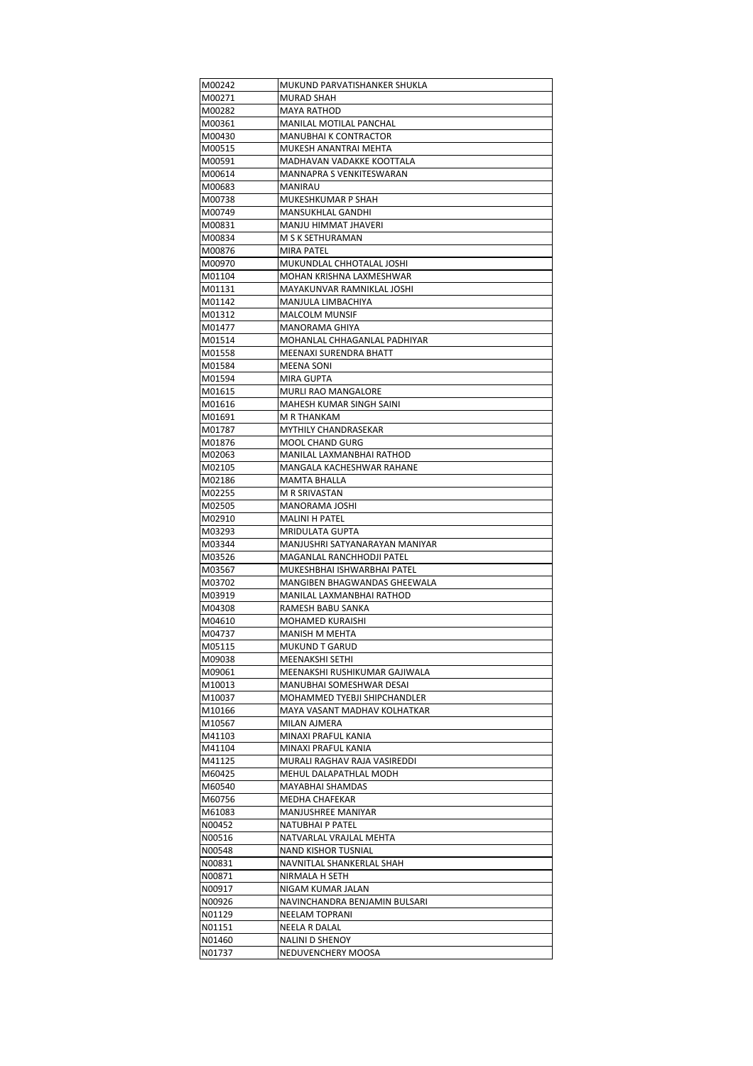| M00242           | MUKUND PARVATISHANKER SHUKLA                   |
|------------------|------------------------------------------------|
| M00271           | MURAD SHAH                                     |
| M00282           | MAYA RATHOD                                    |
| M00361           | MANILAL MOTILAL PANCHAL                        |
| M00430           | MANUBHAI K CONTRACTOR                          |
| M00515           | MUKESH ANANTRAI MEHTA                          |
| M00591           | MADHAVAN VADAKKE KOOTTALA                      |
| M00614           | MANNAPRA S VENKITESWARAN                       |
| M00683           | MANIRAU                                        |
| M00738           | MUKESHKUMAR P SHAH                             |
| M00749           | <b>MANSUKHLAL GANDHI</b>                       |
| M00831           | MANJU HIMMAT JHAVERI                           |
| M00834           | M S K SETHURAMAN                               |
| M00876           | MIRA PATEL                                     |
| M00970           | MUKUNDLAL CHHOTALAL JOSHI                      |
| M01104           | MOHAN KRISHNA LAXMESHWAR                       |
| M01131           | MAYAKUNVAR RAMNIKLAL JOSHI                     |
| M01142           | MANJULA LIMBACHIYA                             |
| M01312           | <b>MALCOLM MUNSIF</b>                          |
| M01477           | MANORAMA GHIYA                                 |
| M01514           | MOHANLAL CHHAGANLAL PADHIYAR                   |
| M01558           | MEENAXI SURENDRA BHATT                         |
| M01584           | <b>MEENA SONI</b>                              |
| M01594           | MIRA GUPTA                                     |
| M01615           | MURLI RAO MANGALORE                            |
| M01616           | MAHESH KUMAR SINGH SAINI                       |
| M01691           | M R THANKAM                                    |
| M01787           | MYTHILY CHANDRASEKAR                           |
| M01876           | MOOL CHAND GURG                                |
| M02063           | MANILAL LAXMANBHAI RATHOD                      |
| M02105           | MANGALA KACHESHWAR RAHANE                      |
| M02186           | MAMTA BHALLA                                   |
| M02255           | M R SRIVASTAN                                  |
| M02505           | MANORAMA JOSHI                                 |
| M02910           | MALINI H PATEL                                 |
| M03293           | <b>MRIDULATA GUPTA</b>                         |
|                  |                                                |
| M03344           | MANJUSHRI SATYANARAYAN MANIYAR                 |
| M03526           | MAGANLAL RANCHHODJI PATEL                      |
| M03567           | MUKESHBHAI ISHWARBHAI PATEL                    |
| M03702           | MANGIBEN BHAGWANDAS GHEEWALA                   |
| M03919           | MANILAL LAXMANBHAI RATHOD                      |
| M04308           | RAMESH BABU SANKA                              |
| M04610           | MOHAMED KURAISHI                               |
| M04737           | MANISH M MEHTA                                 |
| M05115           | MUKUND T GARUD                                 |
| M09038           | MEENAKSHI SETHI                                |
| M09061           | MEENAKSHI RUSHIKUMAR GAJIWALA                  |
| M10013           | MANUBHAI SOMESHWAR DESAI                       |
| M10037           | MOHAMMED TYEBJI SHIPCHANDLER                   |
| M10166           | MAYA VASANT MADHAV KOLHATKAR                   |
| M10567           | MILAN AJMERA                                   |
| M41103           | MINAXI PRAFUL KANIA                            |
| M41104           | MINAXI PRAFUL KANIA                            |
| M41125           | MURALI RAGHAV RAJA VASIREDDI                   |
| M60425           | MEHUL DALAPATHLAL MODH                         |
| M60540           | MAYABHAI SHAMDAS                               |
| M60756           | MEDHA CHAFEKAR                                 |
| M61083<br>N00452 | MANJUSHREE MANIYAR<br>NATUBHAI P PATEL         |
|                  |                                                |
| N00516<br>N00548 | NATVARLAL VRAJLAL MEHTA<br>NAND KISHOR TUSNIAL |
| N00831           | NAVNITLAL SHANKERLAL SHAH                      |
| N00871           | NIRMALA H SETH                                 |
| N00917           | NIGAM KUMAR JALAN                              |
| N00926           | NAVINCHANDRA BENJAMIN BULSARI                  |
| N01129           | NEELAM TOPRANI                                 |
| N01151           | NEELA R DALAL                                  |
| N01460           | <b>NALINI D SHENOY</b>                         |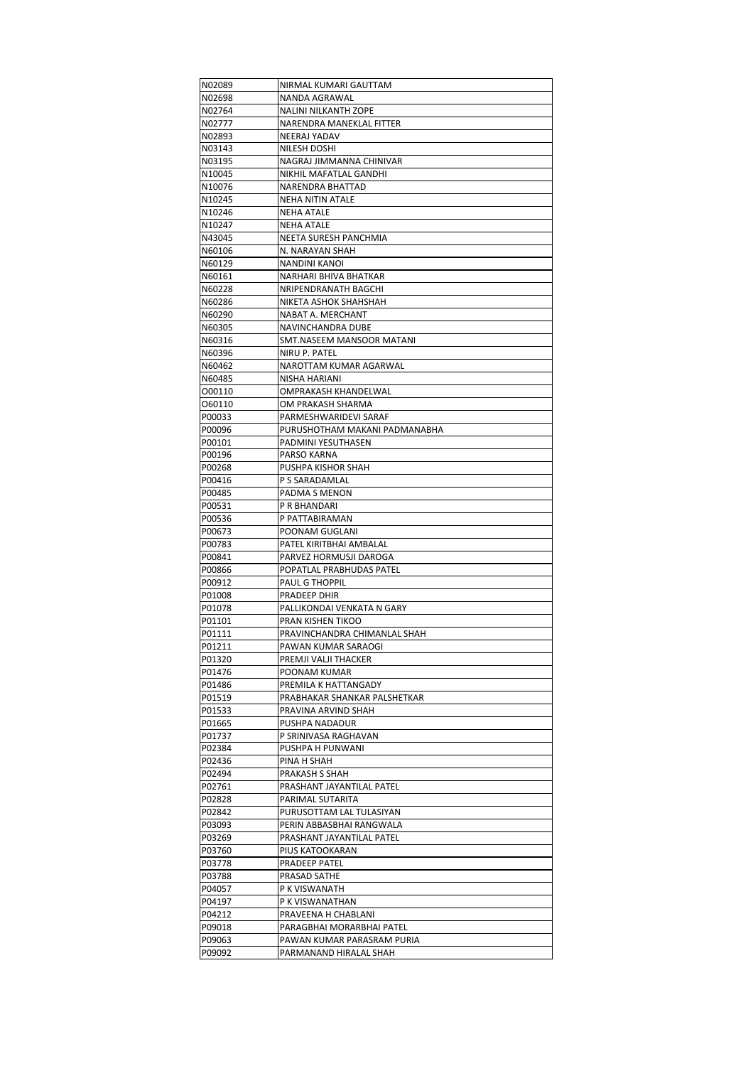| N02089 | NIRMAL KUMARI GAUTTAM         |
|--------|-------------------------------|
| N02698 | NANDA AGRAWAL                 |
| N02764 | <b>NALINI NILKANTH ZOPE</b>   |
| N02777 | NARENDRA MANEKLAL FITTER      |
| N02893 | NEERAJ YADAV                  |
|        |                               |
| N03143 | NILESH DOSHI                  |
| N03195 | NAGRAJ JIMMANNA CHINIVAR      |
| N10045 | NIKHIL MAFATLAL GANDHI        |
| N10076 | NARENDRA BHATTAD              |
| N10245 | NEHA NITIN ATALE              |
| N10246 | NEHA ATALE                    |
|        |                               |
| N10247 | <b>NEHA ATALE</b>             |
| N43045 | NEETA SURESH PANCHMIA         |
| N60106 | N. NARAYAN SHAH               |
| N60129 | NANDINI KANOI                 |
| N60161 | NARHARI BHIVA BHATKAR         |
| N60228 | NRIPENDRANATH BAGCHI          |
|        |                               |
| N60286 | NIKETA ASHOK SHAHSHAH         |
| N60290 | NABAT A. MERCHANT             |
| N60305 | NAVINCHANDRA DUBE             |
| N60316 | SMT.NASEEM MANSOOR MATANI     |
| N60396 | NIRU P. PATEL                 |
| N60462 | NAROTTAM KUMAR AGARWAL        |
| N60485 | <b>NISHA HARIANI</b>          |
|        |                               |
| 000110 | OMPRAKASH KHANDELWAL          |
| 060110 | OM PRAKASH SHARMA             |
| P00033 | PARMESHWARIDEVI SARAF         |
| P00096 | PURUSHOTHAM MAKANI PADMANABHA |
| P00101 | PADMINI YESUTHASEN            |
| P00196 | PARSO KARNA                   |
|        |                               |
| P00268 | PUSHPA KISHOR SHAH            |
| P00416 | P S SARADAMLAL                |
| P00485 | PADMA S MENON                 |
| P00531 | P R BHANDARI                  |
| P00536 | P PATTABIRAMAN                |
| P00673 | POONAM GUGLANI                |
| P00783 | PATEL KIRITBHAI AMBALAL       |
|        |                               |
| P00841 | PARVEZ HORMUSJI DAROGA        |
| P00866 | POPATLAL PRABHUDAS PATEL      |
| P00912 | <b>PAUL G THOPPIL</b>         |
| P01008 | PRADEEP DHIR                  |
| P01078 | PALLIKONDAI VENKATA N GARY    |
| P01101 | PRAN KISHEN TIKOO             |
| P01111 |                               |
|        | PRAVINCHANDRA CHIMANLAL SHAH  |
| P01211 | PAWAN KUMAR SARAOGI           |
| P01320 | PREMJI VALJI THACKER          |
| P01476 | POONAM KUMAR                  |
| P01486 | PREMILA K HATTANGADY          |
| P01519 | PRABHAKAR SHANKAR PALSHETKAR  |
| P01533 | PRAVINA ARVIND SHAH           |
| P01665 | PUSHPA NADADUR                |
|        |                               |
| P01737 | P SRINIVASA RAGHAVAN          |
| P02384 | PUSHPA H PUNWANI              |
| P02436 | PINA H SHAH                   |
| P02494 | PRAKASH S SHAH                |
| P02761 | PRASHANT JAYANTILAL PATEL     |
| P02828 | PARIMAL SUTARITA              |
| P02842 | PURUSOTTAM LAL TULASIYAN      |
|        |                               |
| P03093 | PERIN ABBASBHAI RANGWALA      |
| P03269 | PRASHANT JAYANTILAL PATEL     |
| P03760 | PIUS KATOOKARAN               |
| P03778 | PRADEEP PATEL                 |
| P03788 | PRASAD SATHE                  |
| P04057 | P K VISWANATH                 |
|        |                               |
| P04197 | P K VISWANATHAN               |
| P04212 | PRAVEENA H CHABLANI           |
| P09018 | PARAGBHAI MORARBHAI PATEL     |
| P09063 | PAWAN KUMAR PARASRAM PURIA    |
| P09092 | PARMANAND HIRALAL SHAH        |
|        |                               |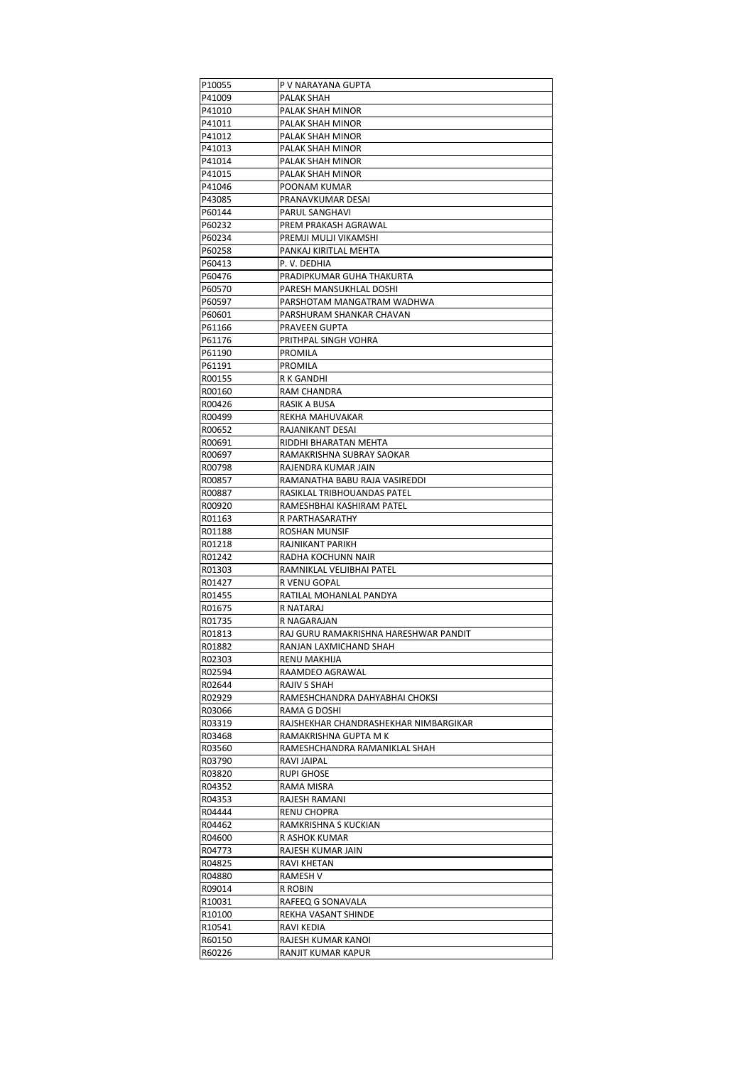| P10055 | P V NARAYANA GUPTA                    |
|--------|---------------------------------------|
| P41009 | PALAK SHAH                            |
| P41010 | PALAK SHAH MINOR                      |
| P41011 | PALAK SHAH MINOR                      |
| P41012 | PALAK SHAH MINOR                      |
| P41013 | PALAK SHAH MINOR                      |
| P41014 | PALAK SHAH MINOR                      |
| P41015 | PALAK SHAH MINOR                      |
|        |                                       |
| P41046 | POONAM KUMAR                          |
| P43085 | PRANAVKUMAR DESAI                     |
| P60144 | PARUL SANGHAVI                        |
| P60232 | PREM PRAKASH AGRAWAL                  |
| P60234 | PREMJI MULJI VIKAMSHI                 |
| P60258 | PANKAJ KIRITLAL MEHTA                 |
| P60413 | P. V. DEDHIA                          |
| P60476 | PRADIPKUMAR GUHA THAKURTA             |
| P60570 | PARESH MANSUKHLAL DOSHI               |
| P60597 | PARSHOTAM MANGATRAM WADHWA            |
| P60601 | PARSHURAM SHANKAR CHAVAN              |
|        |                                       |
| P61166 | PRAVEEN GUPTA                         |
| P61176 | PRITHPAL SINGH VOHRA                  |
| P61190 | PROMILA                               |
| P61191 | PROMILA                               |
| R00155 | R K GANDHI                            |
| R00160 | RAM CHANDRA                           |
| R00426 | RASIK A BUSA                          |
| R00499 | REKHA MAHUVAKAR                       |
| R00652 | RAJANIKANT DESAI                      |
| R00691 | RIDDHI BHARATAN MEHTA                 |
| R00697 | RAMAKRISHNA SUBRAY SAOKAR             |
| R00798 | RAJENDRA KUMAR JAIN                   |
|        |                                       |
| R00857 | RAMANATHA BABU RAJA VASIREDDI         |
| R00887 | RASIKLAL TRIBHOUANDAS PATEL           |
| R00920 | RAMESHBHAI KASHIRAM PATEL             |
| R01163 | R PARTHASARATHY                       |
| R01188 | ROSHAN MUNSIF                         |
| R01218 | RAJNIKANT PARIKH                      |
| R01242 | RADHA KOCHUNN NAIR                    |
| R01303 | RAMNIKLAL VELJIBHAI PATEL             |
| R01427 | R VENU GOPAL                          |
| R01455 | RATILAL MOHANLAL PANDYA               |
| R01675 | R NATARAJ                             |
| R01735 | R NAGARAJAN                           |
|        |                                       |
| R01813 | RAJ GURU RAMAKRISHNA HARESHWAR PANDIT |
| R01882 | RANJAN LAXMICHAND SHAH                |
| R02303 | RENU MAKHIJA                          |
| R02594 | RAAMDEO AGRAWAL                       |
| R02644 | RAJIV S SHAH                          |
| R02929 | RAMESHCHANDRA DAHYABHAI CHOKSI        |
| R03066 | RAMA G DOSHI                          |
| R03319 | RAJSHEKHAR CHANDRASHEKHAR NIMBARGIKAR |
| R03468 | RAMAKRISHNA GUPTA M K                 |
| R03560 | RAMESHCHANDRA RAMANIKLAL SHAH         |
| R03790 | RAVI JAIPAL                           |
| R03820 | <b>RUPI GHOSE</b>                     |
|        |                                       |
| R04352 | RAMA MISRA                            |
| R04353 | RAJESH RAMANI                         |
| R04444 | RENU CHOPRA                           |
| R04462 | RAMKRISHNA S KUCKIAN                  |
| R04600 | R ASHOK KUMAR                         |
| R04773 | RAJESH KUMAR JAIN                     |
| R04825 | RAVI KHETAN                           |
| R04880 | RAMESH V                              |
| R09014 | R ROBIN                               |
| R10031 | RAFEEQ G SONAVALA                     |
| R10100 | REKHA VASANT SHINDE                   |
|        |                                       |
| R10541 | RAVI KEDIA                            |
| R60150 | RAJESH KUMAR KANOI                    |
| R60226 | RANJIT KUMAR KAPUR                    |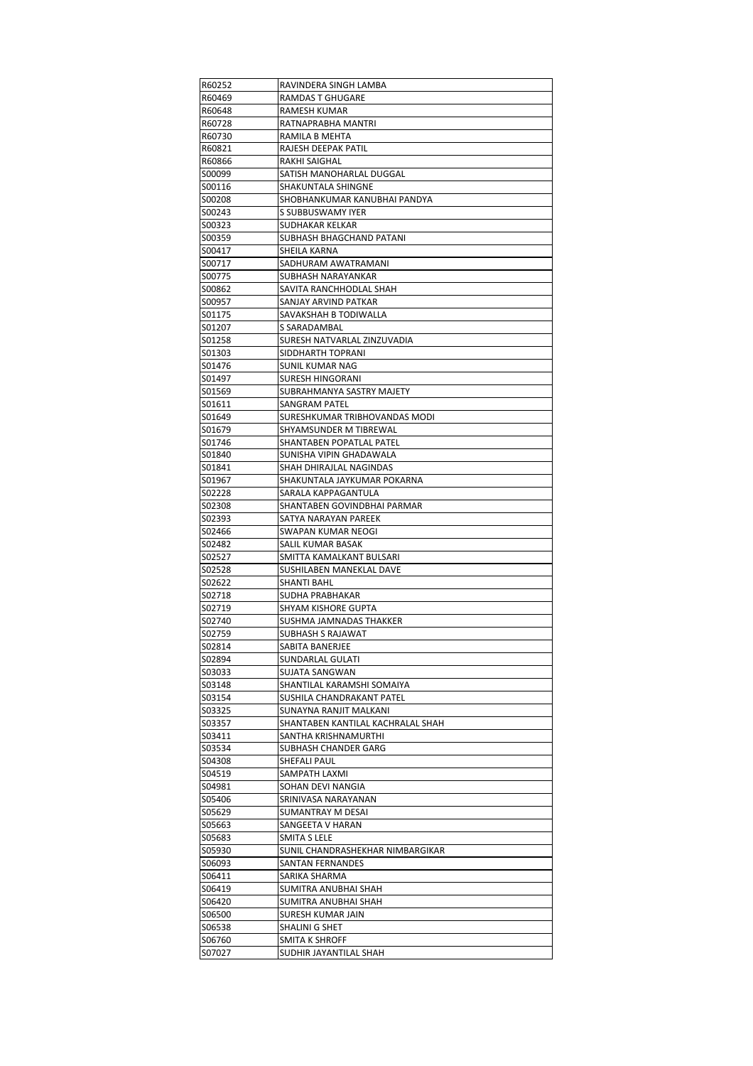| R60252           | RAVINDERA SINGH LAMBA             |
|------------------|-----------------------------------|
| R60469           | RAMDAS T GHUGARE                  |
| R60648           | RAMESH KUMAR                      |
| R60728           | RATNAPRABHA MANTRI                |
| R60730           | RAMILA B MEHTA                    |
| R60821           | RAJESH DEEPAK PATIL               |
| R60866           | RAKHI SAIGHAL                     |
| S00099           | SATISH MANOHARLAL DUGGAL          |
| S00116           | SHAKUNTALA SHINGNE                |
| S00208           | SHOBHANKUMAR KANUBHAI PANDYA      |
| S00243           | S SUBBUSWAMY IYER                 |
| S00323           | SUDHAKAR KELKAR                   |
| S00359           | SUBHASH BHAGCHAND PATANI          |
| S00417           | SHEILA KARNA                      |
| S00717           | SADHURAM AWATRAMANI               |
| S00775           | SUBHASH NARAYANKAR                |
| S00862           | SAVITA RANCHHODLAL SHAH           |
|                  |                                   |
| S00957           | SANJAY ARVIND PATKAR              |
| S01175           | SAVAKSHAH B TODIWALLA             |
| S01207           | S SARADAMBAL                      |
| S01258           | SURESH NATVARLAL ZINZUVADIA       |
| S01303           | SIDDHARTH TOPRANI                 |
| S01476           | SUNIL KUMAR NAG                   |
| S01497           | SURESH HINGORANI                  |
| S01569           | SUBRAHMANYA SASTRY MAJETY         |
| S01611           | SANGRAM PATEL                     |
| S01649           | SURESHKUMAR TRIBHOVANDAS MODI     |
| S01679           | SHYAMSUNDER M TIBREWAL            |
| S01746           | SHANTABEN POPATLAL PATEL          |
| S01840           | SUNISHA VIPIN GHADAWALA           |
| S01841           | SHAH DHIRAJLAL NAGINDAS           |
| S01967           | SHAKUNTALA JAYKUMAR POKARNA       |
| S02228           | SARALA KAPPAGANTULA               |
| S02308           | SHANTABEN GOVINDBHAI PARMAR       |
| S02393           | SATYA NARAYAN PAREEK              |
| S02466           | SWAPAN KUMAR NEOGI                |
| S02482           | SALIL KUMAR BASAK                 |
| S02527           | SMITTA KAMALKANT BULSARI          |
| S02528           | SUSHILABEN MANEKLAL DAVE          |
| S02622           | <b>SHANTI BAHL</b>                |
| S02718           | <b>SUDHA PRABHAKAR</b>            |
| S02719           | SHYAM KISHORE GUPTA               |
| S02740           | SUSHMA JAMNADAS THAKKER           |
| S02759           | SUBHASH S RAJAWAT                 |
| S02814           | SABITA BANERJEE                   |
| S02894           | SUNDARLAL GULATI                  |
| S03033           | SUJATA SANGWAN                    |
| S03148           | SHANTILAL KARAMSHI SOMAIYA        |
| S03154           | SUSHILA CHANDRAKANT PATEL         |
| S03325           | SUNAYNA RANJIT MALKANI            |
| S03357           | SHANTABEN KANTILAL KACHRALAL SHAH |
| S03411           | SANTHA KRISHNAMURTHI              |
| S03534           | SUBHASH CHANDER GARG              |
| S04308           | SHEFALI PAUL                      |
| S04519           | SAMPATH LAXMI                     |
| S04981           | SOHAN DEVI NANGIA                 |
| S05406           | SRINIVASA NARAYANAN               |
| S05629           | SUMANTRAY M DESAI                 |
| S05663           | SANGEETA V HARAN                  |
| S05683           | SMITA S LELE                      |
|                  | SUNIL CHANDRASHEKHAR NIMBARGIKAR  |
| S05930<br>S06093 |                                   |
|                  | <b>SANTAN FERNANDES</b>           |
| S06411           | SARIKA SHARMA                     |
| S06419           | SUMITRA ANUBHAI SHAH              |
| S06420           | SUMITRA ANUBHAI SHAH              |
| S06500           | SURESH KUMAR JAIN                 |
| S06538           | SHALINI G SHET                    |
| S06760           | SMITA K SHROFF                    |
| S07027           | SUDHIR JAYANTILAL SHAH            |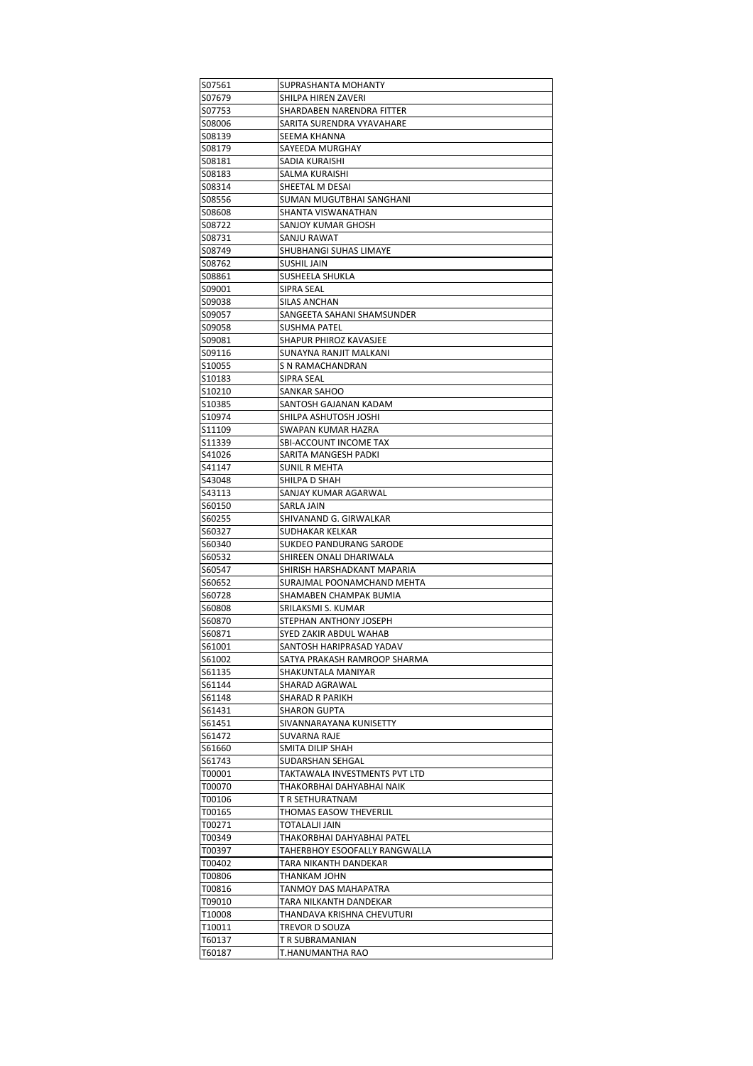| S07561           | SUPRASHANTA MOHANTY              |
|------------------|----------------------------------|
| S07679           | SHILPA HIREN ZAVERI              |
| S07753           | SHARDABEN NARENDRA FITTER        |
| S08006           | SARITA SURENDRA VYAVAHARE        |
| S08139           | SEEMA KHANNA                     |
| S08179           | SAYEEDA MURGHAY                  |
| S08181           | SADIA KURAISHI                   |
| S08183           | SALMA KURAISHI                   |
| S08314           | SHEETAL M DESAI                  |
| S08556           | SUMAN MUGUTBHAI SANGHANI         |
| S08608           | SHANTA VISWANATHAN               |
| S08722           | SANJOY KUMAR GHOSH               |
| S08731           | SANJU RAWAT                      |
|                  | SHUBHANGI SUHAS LIMAYE           |
| S08749<br>S08762 | <b>SUSHIL JAIN</b>               |
|                  |                                  |
| S08861           | SUSHEELA SHUKLA                  |
| S09001           | SIPRA SEAL                       |
| S09038           | SILAS ANCHAN                     |
| S09057           | SANGEETA SAHANI SHAMSUNDER       |
| S09058           | SUSHMA PATEL                     |
| S09081           | SHAPUR PHIROZ KAVASJEE           |
| S09116           | SUNAYNA RANJIT MALKANI           |
| S10055           | S N RAMACHANDRAN                 |
| S10183           | SIPRA SEAL                       |
| S10210           | SANKAR SAHOO                     |
| S10385           | SANTOSH GAJANAN KADAM            |
| S10974           | SHILPA ASHUTOSH JOSHI            |
| S11109           | SWAPAN KUMAR HAZRA               |
| \$11339          | SBI-ACCOUNT INCOME TAX           |
| S41026           | SARITA MANGESH PADKI             |
| S41147           | SUNIL R MEHTA                    |
| S43048           | SHILPA D SHAH                    |
| S43113           | SANJAY KUMAR AGARWAL             |
| S60150           | SARLA JAIN                       |
| S60255           | SHIVANAND G. GIRWALKAR           |
| S60327           | SUDHAKAR KELKAR                  |
| S60340           | SUKDEO PANDURANG SARODE          |
| S60532           | SHIREEN ONALI DHARIWALA          |
| S60547           | SHIRISH HARSHADKANT MAPARIA      |
| S60652           | SURAJMAL POONAMCHAND MEHTA       |
| S60728           | SHAMABEN CHAMPAK BUMIA           |
| S60808           | SRILAKSMI S. KUMAR               |
| S60870           | STEPHAN ANTHONY JOSEPH           |
| S60871           | SYED ZAKIR ABDUL WAHAB           |
| S61001           | SANTOSH HARIPRASAD YADAV         |
| S61002           | SATYA PRAKASH RAMROOP SHARMA     |
| S61135           | SHAKUNTALA MANIYAR               |
| S61144           | SHARAD AGRAWAL                   |
| S61148           | <b>SHARAD R PARIKH</b>           |
| S61431           | <b>SHARON GUPTA</b>              |
| S61451           | SIVANNARAYANA KUNISETTY          |
|                  |                                  |
| S61472           | SUVARNA RAJE<br>SMITA DILIP SHAH |
| S61660           |                                  |
| S61743           | SUDARSHAN SEHGAL                 |
| T00001           | TAKTAWALA INVESTMENTS PVT LTD    |
| T00070           | THAKORBHAI DAHYABHAI NAIK        |
| T00106           | T R SETHURATNAM                  |
| T00165           | THOMAS EASOW THEVERLIL           |
| T00271           | TOTALALJI JAIN                   |
| T00349           | THAKORBHAI DAHYABHAI PATEL       |
| T00397           | TAHERBHOY ESOOFALLY RANGWALLA    |
| T00402           | TARA NIKANTH DANDEKAR            |
| T00806           | THANKAM JOHN                     |
| T00816           | TANMOY DAS MAHAPATRA             |
| T09010           | TARA NILKANTH DANDEKAR           |
| T10008           | THANDAVA KRISHNA CHEVUTURI       |
| T10011           |                                  |
|                  | TREVOR D SOUZA                   |
| T60137           | T R SUBRAMANIAN                  |